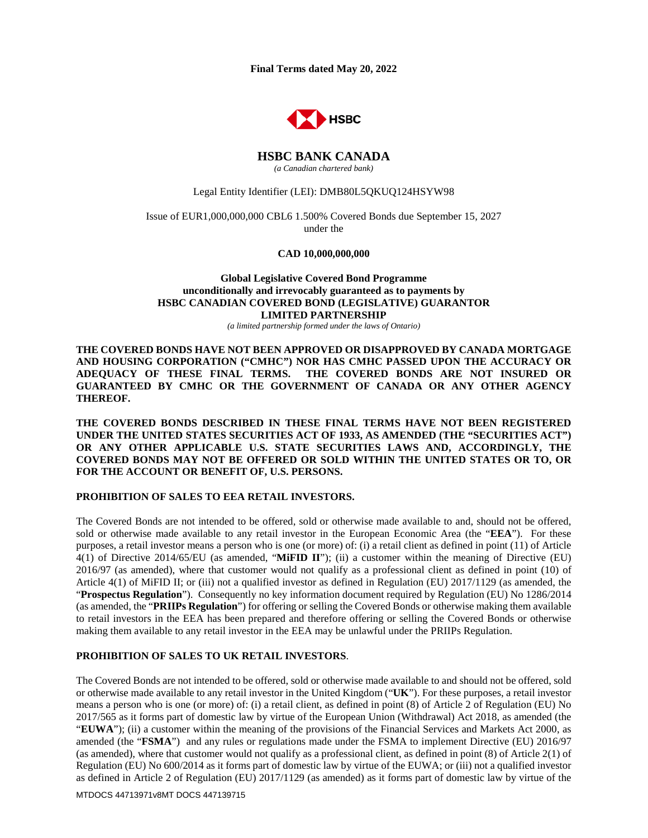**Final Terms dated May 20, 2022** 



#### **HSBC BANK CANADA**  *(a Canadian chartered bank)*

#### Legal Entity Identifier (LEI): DMB80L5QKUQ124HSYW98

Issue of EUR1,000,000,000 CBL6 1.500% Covered Bonds due September 15, 2027 under the

**CAD 10,000,000,000**

## **Global Legislative Covered Bond Programme unconditionally and irrevocably guaranteed as to payments by HSBC CANADIAN COVERED BOND (LEGISLATIVE) GUARANTOR LIMITED PARTNERSHIP**

*(a limited partnership formed under the laws of Ontario)* 

**THE COVERED BONDS HAVE NOT BEEN APPROVED OR DISAPPROVED BY CANADA MORTGAGE AND HOUSING CORPORATION ("CMHC") NOR HAS CMHC PASSED UPON THE ACCURACY OR ADEQUACY OF THESE FINAL TERMS. THE COVERED BONDS ARE NOT INSURED OR GUARANTEED BY CMHC OR THE GOVERNMENT OF CANADA OR ANY OTHER AGENCY THEREOF.** 

**THE COVERED BONDS DESCRIBED IN THESE FINAL TERMS HAVE NOT BEEN REGISTERED UNDER THE UNITED STATES SECURITIES ACT OF 1933, AS AMENDED (THE "SECURITIES ACT") OR ANY OTHER APPLICABLE U.S. STATE SECURITIES LAWS AND, ACCORDINGLY, THE COVERED BONDS MAY NOT BE OFFERED OR SOLD WITHIN THE UNITED STATES OR TO, OR FOR THE ACCOUNT OR BENEFIT OF, U.S. PERSONS.** 

#### **PROHIBITION OF SALES TO EEA RETAIL INVESTORS.**

The Covered Bonds are not intended to be offered, sold or otherwise made available to and, should not be offered, sold or otherwise made available to any retail investor in the European Economic Area (the "**EEA**"). For these purposes, a retail investor means a person who is one (or more) of: (i) a retail client as defined in point (11) of Article 4(1) of Directive 2014/65/EU (as amended, "**MiFID II**"); (ii) a customer within the meaning of Directive (EU) 2016/97 (as amended), where that customer would not qualify as a professional client as defined in point (10) of Article 4(1) of MiFID II; or (iii) not a qualified investor as defined in Regulation (EU) 2017/1129 (as amended, the "**Prospectus Regulation**"). Consequently no key information document required by Regulation (EU) No 1286/2014 (as amended, the "**PRIIPs Regulation**") for offering or selling the Covered Bonds or otherwise making them available to retail investors in the EEA has been prepared and therefore offering or selling the Covered Bonds or otherwise making them available to any retail investor in the EEA may be unlawful under the PRIIPs Regulation.

#### **PROHIBITION OF SALES TO UK RETAIL INVESTORS**.

The Covered Bonds are not intended to be offered, sold or otherwise made available to and should not be offered, sold or otherwise made available to any retail investor in the United Kingdom ("**UK**"). For these purposes, a retail investor means a person who is one (or more) of: (i) a retail client, as defined in point (8) of Article 2 of Regulation (EU) No 2017/565 as it forms part of domestic law by virtue of the European Union (Withdrawal) Act 2018, as amended (the "**EUWA**"); (ii) a customer within the meaning of the provisions of the Financial Services and Markets Act 2000, as amended (the "**FSMA**") and any rules or regulations made under the FSMA to implement Directive (EU) 2016/97 (as amended), where that customer would not qualify as a professional client, as defined in point (8) of Article 2(1) of Regulation (EU) No 600/2014 as it forms part of domestic law by virtue of the EUWA; or (iii) not a qualified investor as defined in Article 2 of Regulation (EU) 2017/1129 (as amended) as it forms part of domestic law by virtue of the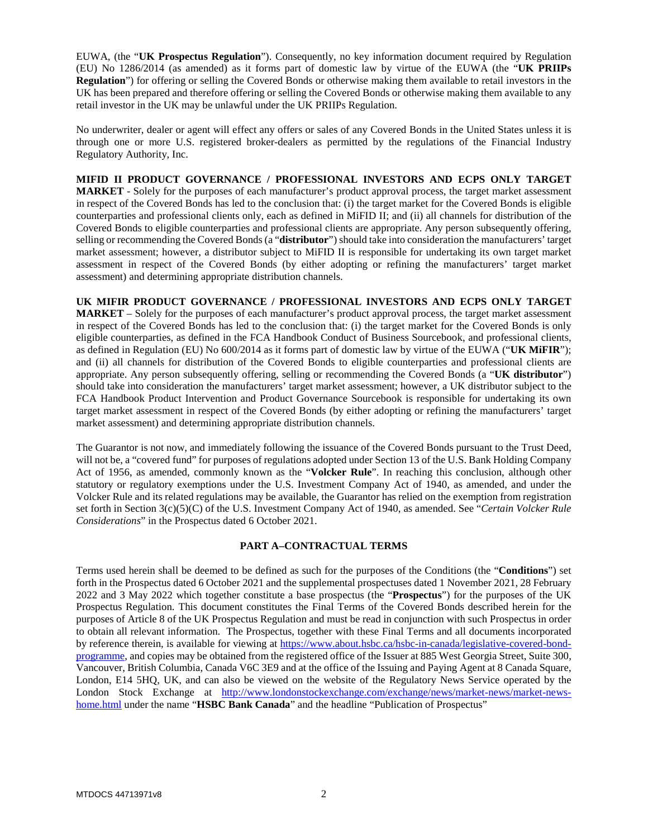EUWA, (the "**UK Prospectus Regulation**"). Consequently, no key information document required by Regulation (EU) No 1286/2014 (as amended) as it forms part of domestic law by virtue of the EUWA (the "**UK PRIIPs Regulation**") for offering or selling the Covered Bonds or otherwise making them available to retail investors in the UK has been prepared and therefore offering or selling the Covered Bonds or otherwise making them available to any retail investor in the UK may be unlawful under the UK PRIIPs Regulation.

No underwriter, dealer or agent will effect any offers or sales of any Covered Bonds in the United States unless it is through one or more U.S. registered broker-dealers as permitted by the regulations of the Financial Industry Regulatory Authority, Inc.

**MIFID II PRODUCT GOVERNANCE / PROFESSIONAL INVESTORS AND ECPS ONLY TARGET MARKET** - Solely for the purposes of each manufacturer's product approval process, the target market assessment in respect of the Covered Bonds has led to the conclusion that: (i) the target market for the Covered Bonds is eligible counterparties and professional clients only, each as defined in MiFID II; and (ii) all channels for distribution of the Covered Bonds to eligible counterparties and professional clients are appropriate. Any person subsequently offering, selling or recommending the Covered Bonds (a "**distributor**") should take into consideration the manufacturers' target market assessment; however, a distributor subject to MiFID II is responsible for undertaking its own target market assessment in respect of the Covered Bonds (by either adopting or refining the manufacturers' target market assessment) and determining appropriate distribution channels.

**UK MIFIR PRODUCT GOVERNANCE / PROFESSIONAL INVESTORS AND ECPS ONLY TARGET MARKET** – Solely for the purposes of each manufacturer's product approval process, the target market assessment in respect of the Covered Bonds has led to the conclusion that: (i) the target market for the Covered Bonds is only eligible counterparties, as defined in the FCA Handbook Conduct of Business Sourcebook, and professional clients, as defined in Regulation (EU) No 600/2014 as it forms part of domestic law by virtue of the EUWA ("**UK MiFIR**"); and (ii) all channels for distribution of the Covered Bonds to eligible counterparties and professional clients are appropriate. Any person subsequently offering, selling or recommending the Covered Bonds (a "**UK distributor**") should take into consideration the manufacturers' target market assessment; however, a UK distributor subject to the FCA Handbook Product Intervention and Product Governance Sourcebook is responsible for undertaking its own target market assessment in respect of the Covered Bonds (by either adopting or refining the manufacturers' target market assessment) and determining appropriate distribution channels.

The Guarantor is not now, and immediately following the issuance of the Covered Bonds pursuant to the Trust Deed, will not be, a "covered fund" for purposes of regulations adopted under Section 13 of the U.S. Bank Holding Company Act of 1956, as amended, commonly known as the "**Volcker Rule**". In reaching this conclusion, although other statutory or regulatory exemptions under the U.S. Investment Company Act of 1940, as amended, and under the Volcker Rule and its related regulations may be available, the Guarantor has relied on the exemption from registration set forth in Section 3(c)(5)(C) of the U.S. Investment Company Act of 1940, as amended. See "*Certain Volcker Rule Considerations*" in the Prospectus dated 6 October 2021.

## **PART A–CONTRACTUAL TERMS**

Terms used herein shall be deemed to be defined as such for the purposes of the Conditions (the "**Conditions**") set forth in the Prospectus dated 6 October 2021 and the supplemental prospectuses dated 1 November 2021, 28 February 2022 and 3 May 2022 which together constitute a base prospectus (the "**Prospectus**") for the purposes of the UK Prospectus Regulation. This document constitutes the Final Terms of the Covered Bonds described herein for the purposes of Article 8 of the UK Prospectus Regulation and must be read in conjunction with such Prospectus in order to obtain all relevant information. The Prospectus, together with these Final Terms and all documents incorporated by reference therein, is available for viewing at https://www.about.hsbc.ca/hsbc-in-canada/legislative-covered-bondprogramme, and copies may be obtained from the registered office of the Issuer at 885 West Georgia Street, Suite 300, Vancouver, British Columbia, Canada V6C 3E9 and at the office of the Issuing and Paying Agent at 8 Canada Square, London, E14 5HQ, UK, and can also be viewed on the website of the Regulatory News Service operated by the London Stock Exchange at http://www.londonstockexchange.com/exchange/news/market-news/market-newshome.html under the name "**HSBC Bank Canada**" and the headline "Publication of Prospectus"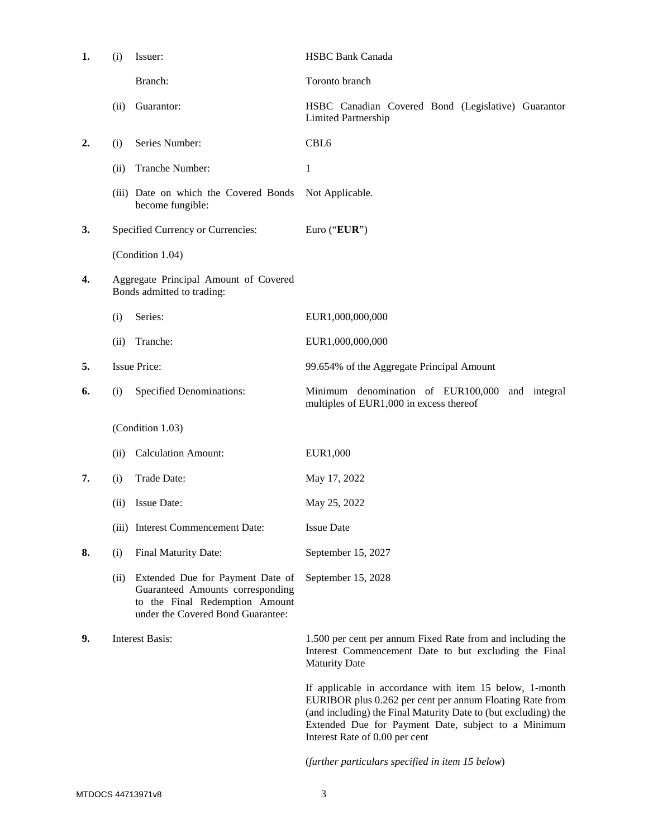| 1. | (i)  | Issuer:                                                                                                                                     | <b>HSBC Bank Canada</b>                                                                                                                                                                                                                                                        |
|----|------|---------------------------------------------------------------------------------------------------------------------------------------------|--------------------------------------------------------------------------------------------------------------------------------------------------------------------------------------------------------------------------------------------------------------------------------|
|    |      | Branch:                                                                                                                                     | Toronto branch                                                                                                                                                                                                                                                                 |
|    | (ii) | Guarantor:                                                                                                                                  | HSBC Canadian Covered Bond (Legislative) Guarantor<br><b>Limited Partnership</b>                                                                                                                                                                                               |
| 2. | (i)  | Series Number:                                                                                                                              | CBL <sub>6</sub>                                                                                                                                                                                                                                                               |
|    | (ii) | Tranche Number:                                                                                                                             | 1                                                                                                                                                                                                                                                                              |
|    |      | (iii) Date on which the Covered Bonds<br>become fungible:                                                                                   | Not Applicable.                                                                                                                                                                                                                                                                |
| 3. |      | Specified Currency or Currencies:                                                                                                           | Euro ("EUR")                                                                                                                                                                                                                                                                   |
|    |      | (Condition 1.04)                                                                                                                            |                                                                                                                                                                                                                                                                                |
| 4. |      | Aggregate Principal Amount of Covered<br>Bonds admitted to trading:                                                                         |                                                                                                                                                                                                                                                                                |
|    | (i)  | Series:                                                                                                                                     | EUR1,000,000,000                                                                                                                                                                                                                                                               |
|    | (ii) | Tranche:                                                                                                                                    | EUR1,000,000,000                                                                                                                                                                                                                                                               |
| 5. |      | <b>Issue Price:</b>                                                                                                                         | 99.654% of the Aggregate Principal Amount                                                                                                                                                                                                                                      |
| 6. | (i)  | <b>Specified Denominations:</b>                                                                                                             | Minimum denomination of EUR100,000<br>and integral<br>multiples of EUR1,000 in excess thereof                                                                                                                                                                                  |
|    |      | (Condition 1.03)                                                                                                                            |                                                                                                                                                                                                                                                                                |
|    | (ii) | <b>Calculation Amount:</b>                                                                                                                  | EUR1,000                                                                                                                                                                                                                                                                       |
| 7. | (i)  | Trade Date:                                                                                                                                 | May 17, 2022                                                                                                                                                                                                                                                                   |
|    | (ii) | Issue Date:                                                                                                                                 | May 25, 2022                                                                                                                                                                                                                                                                   |
|    |      | (iii) Interest Commencement Date:                                                                                                           | <b>Issue Date</b>                                                                                                                                                                                                                                                              |
| 8. | (i)  | Final Maturity Date:                                                                                                                        | September 15, 2027                                                                                                                                                                                                                                                             |
|    | (ii) | Extended Due for Payment Date of<br>Guaranteed Amounts corresponding<br>to the Final Redemption Amount<br>under the Covered Bond Guarantee: | September 15, 2028                                                                                                                                                                                                                                                             |
| 9. |      | <b>Interest Basis:</b>                                                                                                                      | 1.500 per cent per annum Fixed Rate from and including the<br>Interest Commencement Date to but excluding the Final<br><b>Maturity Date</b>                                                                                                                                    |
|    |      |                                                                                                                                             | If applicable in accordance with item 15 below, 1-month<br>EURIBOR plus 0.262 per cent per annum Floating Rate from<br>(and including) the Final Maturity Date to (but excluding) the<br>Extended Due for Payment Date, subject to a Minimum<br>Interest Rate of 0.00 per cent |
|    |      |                                                                                                                                             | (further particulars specified in item 15 below)                                                                                                                                                                                                                               |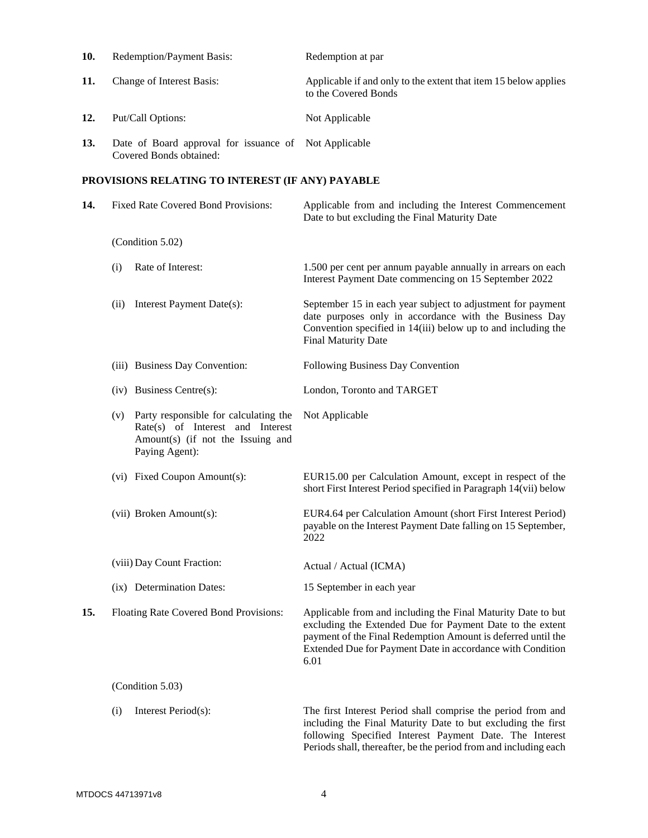| 10. | Redemption/Payment Basis:           |                                                                                                                                  | Redemption at par                                                                                                                                                                                                                                               |  |
|-----|-------------------------------------|----------------------------------------------------------------------------------------------------------------------------------|-----------------------------------------------------------------------------------------------------------------------------------------------------------------------------------------------------------------------------------------------------------------|--|
| 11. | Change of Interest Basis:           |                                                                                                                                  | Applicable if and only to the extent that item 15 below applies<br>to the Covered Bonds                                                                                                                                                                         |  |
| 12. | Put/Call Options:                   |                                                                                                                                  | Not Applicable                                                                                                                                                                                                                                                  |  |
| 13. |                                     | Date of Board approval for issuance of<br>Covered Bonds obtained:                                                                | Not Applicable                                                                                                                                                                                                                                                  |  |
|     |                                     | PROVISIONS RELATING TO INTEREST (IF ANY) PAYABLE                                                                                 |                                                                                                                                                                                                                                                                 |  |
| 14. | Fixed Rate Covered Bond Provisions: |                                                                                                                                  | Applicable from and including the Interest Commencement<br>Date to but excluding the Final Maturity Date                                                                                                                                                        |  |
|     |                                     | (Condition 5.02)                                                                                                                 |                                                                                                                                                                                                                                                                 |  |
|     | (i)                                 | Rate of Interest:                                                                                                                | 1.500 per cent per annum payable annually in arrears on each<br>Interest Payment Date commencing on 15 September 2022                                                                                                                                           |  |
|     | (ii)                                | Interest Payment Date(s):                                                                                                        | September 15 in each year subject to adjustment for payment<br>date purposes only in accordance with the Business Day<br>Convention specified in 14(iii) below up to and including the<br>Final Maturity Date                                                   |  |
|     |                                     | (iii) Business Day Convention:                                                                                                   | Following Business Day Convention                                                                                                                                                                                                                               |  |
|     |                                     | (iv) Business Centre(s):                                                                                                         | London, Toronto and TARGET                                                                                                                                                                                                                                      |  |
|     | (v)                                 | Party responsible for calculating the<br>Rate(s) of Interest and Interest<br>Amount(s) (if not the Issuing and<br>Paying Agent): | Not Applicable                                                                                                                                                                                                                                                  |  |
|     |                                     | (vi) Fixed Coupon Amount(s):                                                                                                     | EUR15.00 per Calculation Amount, except in respect of the<br>short First Interest Period specified in Paragraph 14(vii) below                                                                                                                                   |  |
|     |                                     | (vii) Broken Amount(s):                                                                                                          | EUR4.64 per Calculation Amount (short First Interest Period)<br>payable on the Interest Payment Date falling on 15 September,<br>2022                                                                                                                           |  |
|     |                                     | (viii) Day Count Fraction:                                                                                                       | Actual / Actual (ICMA)                                                                                                                                                                                                                                          |  |
|     |                                     | (ix) Determination Dates:                                                                                                        | 15 September in each year                                                                                                                                                                                                                                       |  |
| 15. |                                     | Floating Rate Covered Bond Provisions:                                                                                           | Applicable from and including the Final Maturity Date to but<br>excluding the Extended Due for Payment Date to the extent<br>payment of the Final Redemption Amount is deferred until the<br>Extended Due for Payment Date in accordance with Condition<br>6.01 |  |
|     |                                     | (Condition 5.03)                                                                                                                 |                                                                                                                                                                                                                                                                 |  |
|     | (i)                                 | Interest Period(s):                                                                                                              | The first Interest Period shall comprise the period from and<br>including the Final Maturity Date to but excluding the first<br>following Specified Interest Payment Date. The Interest                                                                         |  |

Periods shall, thereafter, be the period from and including each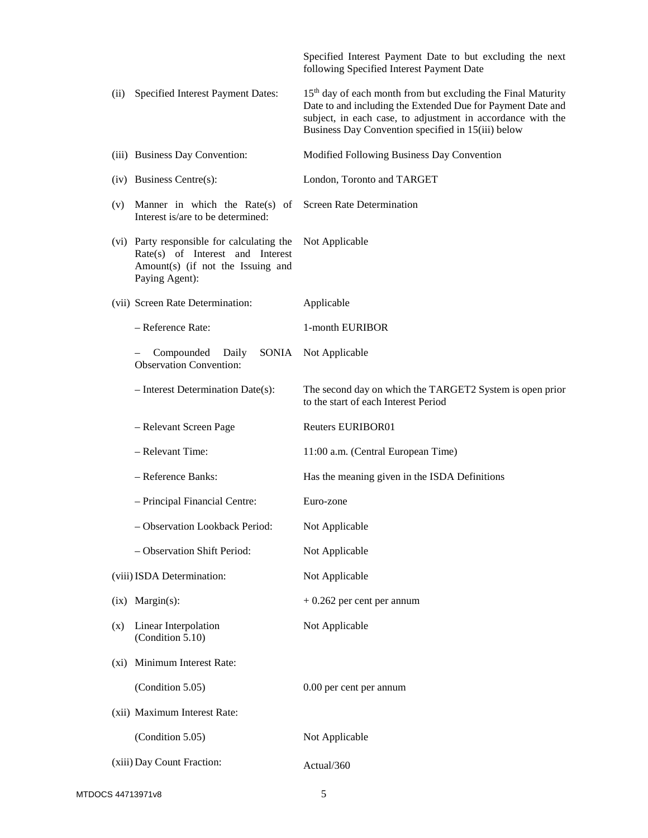|                            |                                                                                                                                       | Specified Interest Payment Date to but excluding the next<br>following Specified Interest Payment Date                                                                                                                                                       |
|----------------------------|---------------------------------------------------------------------------------------------------------------------------------------|--------------------------------------------------------------------------------------------------------------------------------------------------------------------------------------------------------------------------------------------------------------|
| (ii)                       | Specified Interest Payment Dates:                                                                                                     | 15 <sup>th</sup> day of each month from but excluding the Final Maturity<br>Date to and including the Extended Due for Payment Date and<br>subject, in each case, to adjustment in accordance with the<br>Business Day Convention specified in 15(iii) below |
|                            | (iii) Business Day Convention:                                                                                                        | Modified Following Business Day Convention                                                                                                                                                                                                                   |
|                            | $(iv)$ Business Centre $(s)$ :                                                                                                        | London, Toronto and TARGET                                                                                                                                                                                                                                   |
| (v)                        | Manner in which the Rate $(s)$ of<br>Interest is/are to be determined:                                                                | <b>Screen Rate Determination</b>                                                                                                                                                                                                                             |
|                            | (vi) Party responsible for calculating the<br>Rate(s) of Interest and Interest<br>Amount(s) (if not the Issuing and<br>Paying Agent): | Not Applicable                                                                                                                                                                                                                                               |
|                            | (vii) Screen Rate Determination:                                                                                                      | Applicable                                                                                                                                                                                                                                                   |
|                            | - Reference Rate:                                                                                                                     | 1-month EURIBOR                                                                                                                                                                                                                                              |
|                            | Compounded<br>Daily<br>SONIA<br><b>Observation Convention:</b>                                                                        | Not Applicable                                                                                                                                                                                                                                               |
|                            | $-$ Interest Determination Date(s):                                                                                                   | The second day on which the TARGET2 System is open prior<br>to the start of each Interest Period                                                                                                                                                             |
|                            |                                                                                                                                       |                                                                                                                                                                                                                                                              |
|                            | - Relevant Screen Page                                                                                                                | <b>Reuters EURIBOR01</b>                                                                                                                                                                                                                                     |
|                            | - Relevant Time:                                                                                                                      | 11:00 a.m. (Central European Time)                                                                                                                                                                                                                           |
|                            | - Reference Banks:                                                                                                                    | Has the meaning given in the ISDA Definitions                                                                                                                                                                                                                |
|                            | - Principal Financial Centre:                                                                                                         | Euro-zone                                                                                                                                                                                                                                                    |
|                            | <b>Observation Lookback Period:</b>                                                                                                   | Not Applicable                                                                                                                                                                                                                                               |
|                            | - Observation Shift Period:                                                                                                           | Not Applicable                                                                                                                                                                                                                                               |
|                            | (viii) ISDA Determination:                                                                                                            | Not Applicable                                                                                                                                                                                                                                               |
| $\left( \text{ix} \right)$ | $Margin(s)$ :                                                                                                                         | $+0.262$ per cent per annum                                                                                                                                                                                                                                  |
| (x)                        | Linear Interpolation<br>(Condition 5.10)                                                                                              | Not Applicable                                                                                                                                                                                                                                               |
| (xi)                       | Minimum Interest Rate:                                                                                                                |                                                                                                                                                                                                                                                              |
|                            | (Condition 5.05)                                                                                                                      | 0.00 per cent per annum                                                                                                                                                                                                                                      |
|                            | (xii) Maximum Interest Rate:                                                                                                          |                                                                                                                                                                                                                                                              |
|                            | (Condition 5.05)                                                                                                                      | Not Applicable                                                                                                                                                                                                                                               |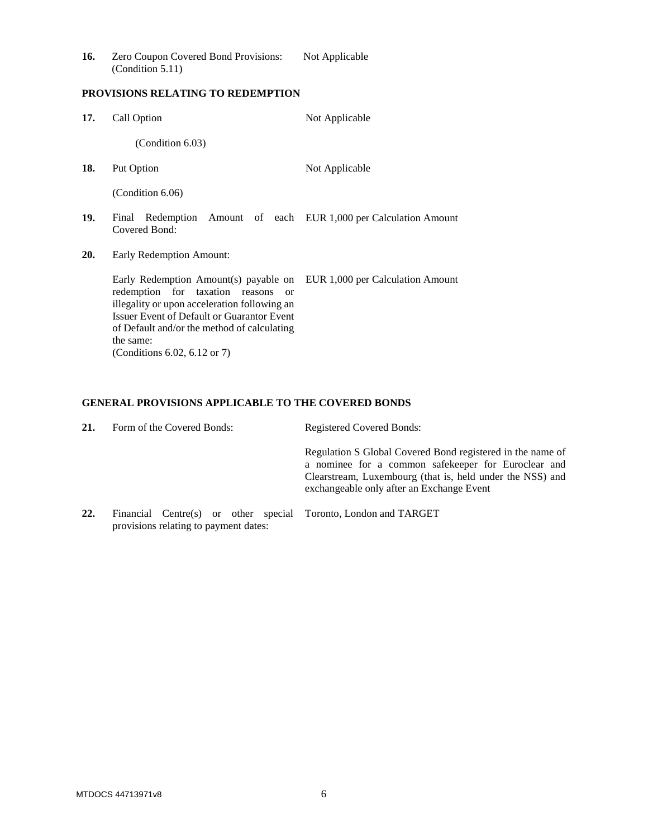| 16. | Zero Coupon Covered Bond Provisions: | Not Applicable |
|-----|--------------------------------------|----------------|
|     | (Condition 5.11)                     |                |

# **PROVISIONS RELATING TO REDEMPTION**

| 17. | Call Option                                                                                                                                                                                                                                                                                                            | Not Applicable                                             |  |
|-----|------------------------------------------------------------------------------------------------------------------------------------------------------------------------------------------------------------------------------------------------------------------------------------------------------------------------|------------------------------------------------------------|--|
|     | (Condition 6.03)                                                                                                                                                                                                                                                                                                       |                                                            |  |
| 18. | Put Option                                                                                                                                                                                                                                                                                                             | Not Applicable                                             |  |
|     | (Condition 6.06)                                                                                                                                                                                                                                                                                                       |                                                            |  |
| 19. | Final<br>Covered Bond:                                                                                                                                                                                                                                                                                                 | Redemption Amount of each EUR 1,000 per Calculation Amount |  |
| 20. | Early Redemption Amount:                                                                                                                                                                                                                                                                                               |                                                            |  |
|     | Early Redemption Amount(s) payable on EUR 1,000 per Calculation Amount<br>redemption for taxation reasons<br>$\alpha$<br>illegality or upon acceleration following an<br><b>Issuer Event of Default or Guarantor Event</b><br>of Default and/or the method of calculating<br>the same:<br>(Conditions 6.02, 6.12 or 7) |                                                            |  |

# **GENERAL PROVISIONS APPLICABLE TO THE COVERED BONDS**

| 21. | Form of the Covered Bonds: |  |  | Registered Covered Bonds:                                                                                                                                                                                                   |
|-----|----------------------------|--|--|-----------------------------------------------------------------------------------------------------------------------------------------------------------------------------------------------------------------------------|
|     |                            |  |  | Regulation S Global Covered Bond registered in the name of<br>a nominee for a common safekeeper for Euroclear and<br>Clearstream, Luxembourg (that is, held under the NSS) and<br>exchangeable only after an Exchange Event |
|     |                            |  |  | $\text{Einomial}$ $\text{Cartr}(s)$ or other gracial $\text{Toronto}$ I and $\text{and}$ $\text{TADCEPT}$                                                                                                                   |

**22.** Financial Centre(s) or other special Toronto, London and TARGET provisions relating to payment dates: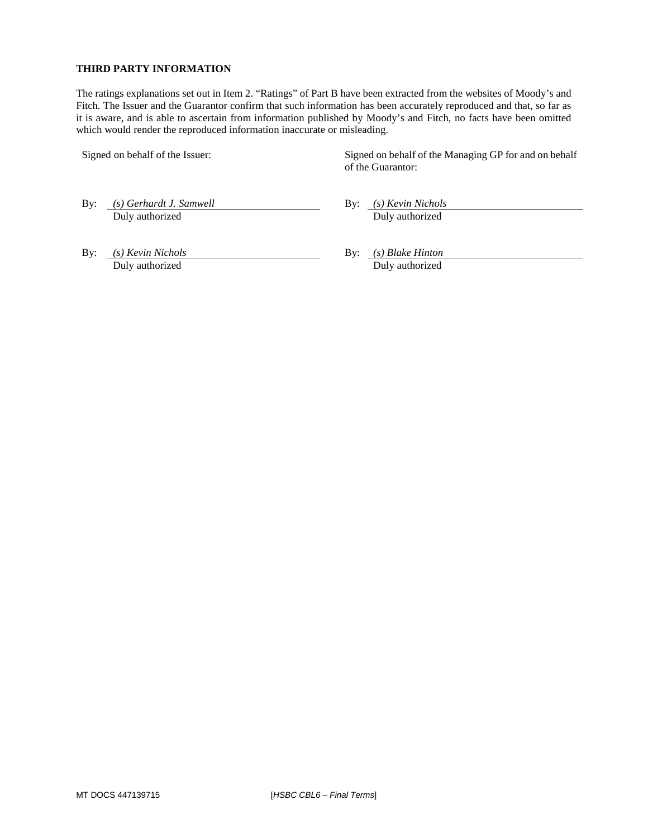### **THIRD PARTY INFORMATION**

The ratings explanations set out in Item 2. "Ratings" of Part B have been extracted from the websites of Moody's and Fitch. The Issuer and the Guarantor confirm that such information has been accurately reproduced and that, so far as it is aware, and is able to ascertain from information published by Moody's and Fitch, no facts have been omitted which would render the reproduced information inaccurate or misleading.

Signed on behalf of the Issuer: Signed on behalf of the Managing GP for and on behalf of the Guarantor:

By: *(s) Gerhardt J. Samwell* **By:** *(s) Kevin Nichols* 

Duly authorized Duly authorized

By: *(s) Kevin Nichols* **By:** *(s) Blake Hinton* Duly authorized Duly authorized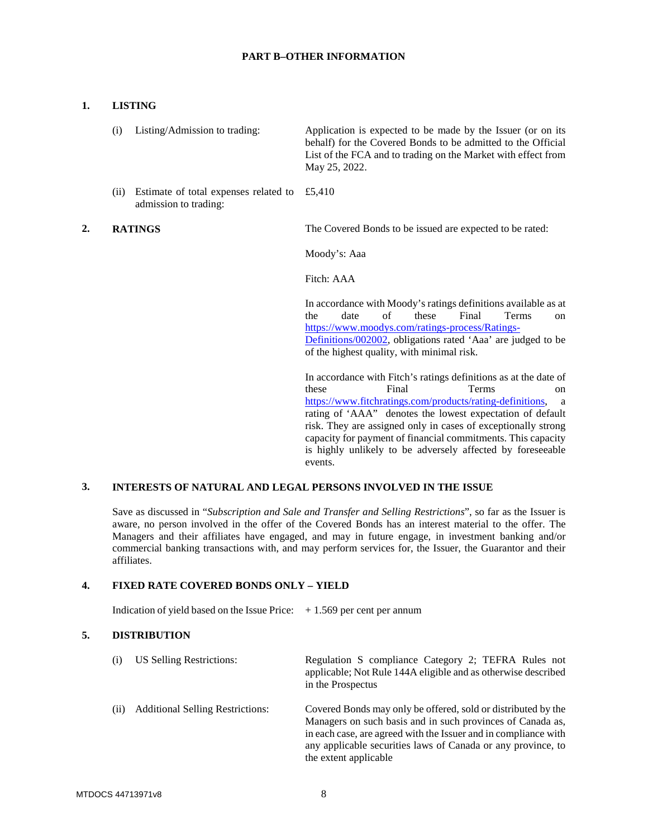#### **PART B–OTHER INFORMATION**

## **1. LISTING**

| $(i)$ Listing/Admission to trading: | Application is expected to be made by the Issuer (or on its<br>behalf) for the Covered Bonds to be admitted to the Official<br>List of the FCA and to trading on the Market with effect from<br>May 25, 2022. |
|-------------------------------------|---------------------------------------------------------------------------------------------------------------------------------------------------------------------------------------------------------------|
|                                     |                                                                                                                                                                                                               |

(ii) Estimate of total expenses related to £5,410 admission to trading:

**2. RATINGS The Covered Bonds to be issued are expected to be rated:** 

Moody's: Aaa

Fitch: AAA

In accordance with Moody's ratings definitions available as at the date of these Final Terms on https://www.moodys.com/ratings-process/Ratings-Definitions/002002, obligations rated 'Aaa' are judged to be of the highest quality, with minimal risk.

In accordance with Fitch's ratings definitions as at the date of these Final Terms on https://www.fitchratings.com/products/rating-definitions, a rating of 'AAA" denotes the lowest expectation of default risk. They are assigned only in cases of exceptionally strong capacity for payment of financial commitments. This capacity is highly unlikely to be adversely affected by foreseeable events.

#### **3. INTERESTS OF NATURAL AND LEGAL PERSONS INVOLVED IN THE ISSUE**

Save as discussed in "*Subscription and Sale and Transfer and Selling Restrictions*", so far as the Issuer is aware, no person involved in the offer of the Covered Bonds has an interest material to the offer. The Managers and their affiliates have engaged, and may in future engage, in investment banking and/or commercial banking transactions with, and may perform services for, the Issuer, the Guarantor and their affiliates.

### **4. FIXED RATE COVERED BONDS ONLY – YIELD**

Indication of yield based on the Issue Price:  $+1.569$  per cent per annum

## **5. DISTRIBUTION**

| (i) | US Selling Restrictions:                | Regulation S compliance Category 2; TEFRA Rules not<br>applicable; Not Rule 144A eligible and as otherwise described<br>in the Prospectus                                                                                                                                               |
|-----|-----------------------------------------|-----------------------------------------------------------------------------------------------------------------------------------------------------------------------------------------------------------------------------------------------------------------------------------------|
| (i) | <b>Additional Selling Restrictions:</b> | Covered Bonds may only be offered, sold or distributed by the<br>Managers on such basis and in such provinces of Canada as,<br>in each case, are agreed with the Issuer and in compliance with<br>any applicable securities laws of Canada or any province, to<br>the extent applicable |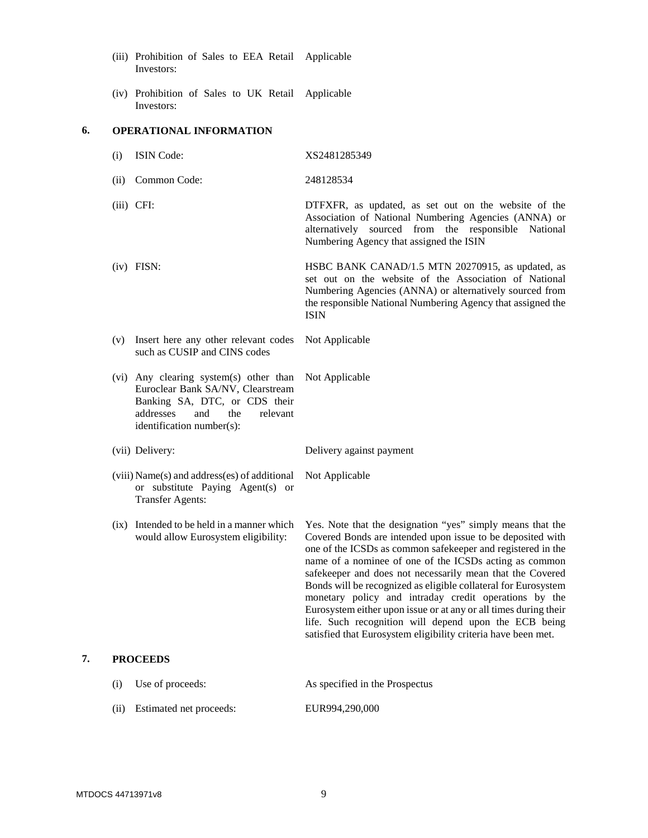- (iii) Prohibition of Sales to EEA Retail Applicable Investors:
- (iv) Prohibition of Sales to UK Retail Applicable Investors:

#### **6. OPERATIONAL INFORMATION**

| (i) | <b>ISIN</b> Code: | XS2481285349 |
|-----|-------------------|--------------|
|     |                   |              |

(ii) Common Code: 248128534

(iii) CFI: DTFXFR, as updated, as set out on the website of the Association of National Numbering Agencies (ANNA) or alternatively sourced from the responsible National Numbering Agency that assigned the ISIN

- (iv) FISN: HSBC BANK CANAD/1.5 MTN 20270915, as updated, as set out on the website of the Association of National Numbering Agencies (ANNA) or alternatively sourced from the responsible National Numbering Agency that assigned the ISIN
- (v) Insert here any other relevant codes such as CUSIP and CINS codes Not Applicable
- (vi) Any clearing system(s) other than Not Applicable Euroclear Bank SA/NV, Clearstream Banking SA, DTC, or CDS their addresses and the relevant identification number(s):

(vii) Delivery: Delivery against payment

Not Applicable

- (viii) Name(s) and address(es) of additional or substitute Paying Agent(s) or Transfer Agents:
- (ix) Intended to be held in a manner which would allow Eurosystem eligibility:

Yes. Note that the designation "yes" simply means that the Covered Bonds are intended upon issue to be deposited with one of the ICSDs as common safekeeper and registered in the name of a nominee of one of the ICSDs acting as common safekeeper and does not necessarily mean that the Covered Bonds will be recognized as eligible collateral for Eurosystem monetary policy and intraday credit operations by the Eurosystem either upon issue or at any or all times during their life. Such recognition will depend upon the ECB being satisfied that Eurosystem eligibility criteria have been met.

## **7. PROCEEDS**

| (i)  | Use of proceeds:        | As specified in the Prospectus |
|------|-------------------------|--------------------------------|
| (ii) | Estimated net proceeds: | EUR994,290,000                 |